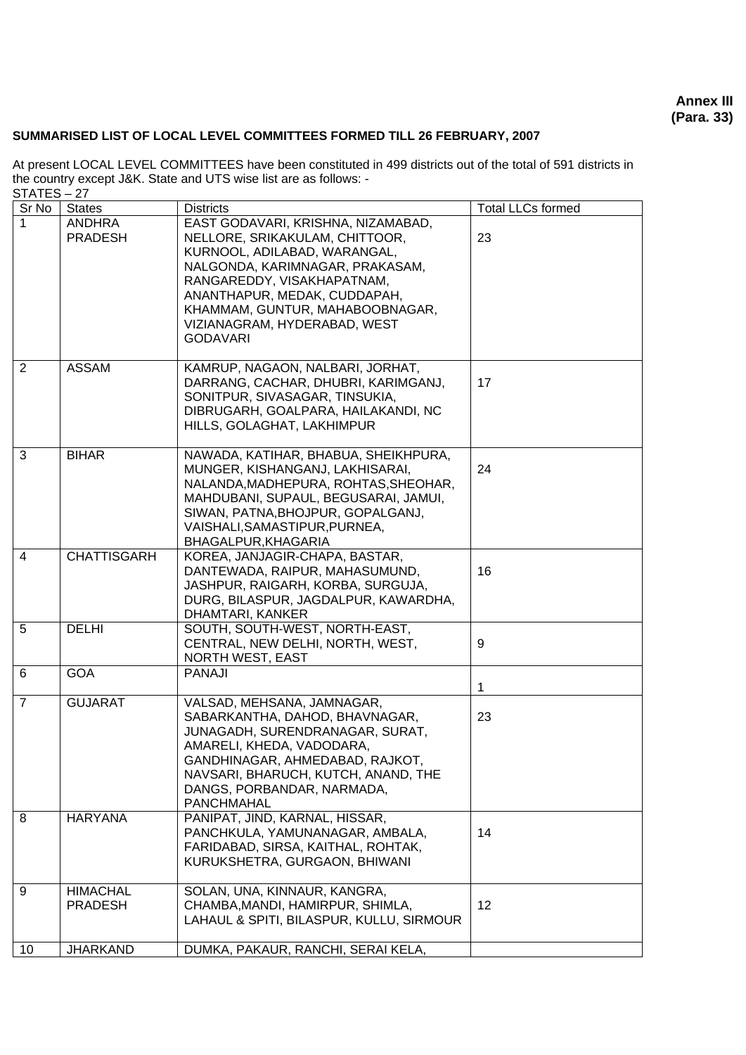**Annex III (Para. 33)**

## **SUMMARISED LIST OF LOCAL LEVEL COMMITTEES FORMED TILL 26 FEBRUARY, 2007**

| .<br>Sr No     | <b>States</b>                     | <b>Districts</b>                                                                                                                                                                                                                                                                            | <b>Total LLCs formed</b> |
|----------------|-----------------------------------|---------------------------------------------------------------------------------------------------------------------------------------------------------------------------------------------------------------------------------------------------------------------------------------------|--------------------------|
| 1              | <b>ANDHRA</b><br>PRADESH          | EAST GODAVARI, KRISHNA, NIZAMABAD,<br>NELLORE, SRIKAKULAM, CHITTOOR,<br>KURNOOL, ADILABAD, WARANGAL,<br>NALGONDA, KARIMNAGAR, PRAKASAM,<br>RANGAREDDY, VISAKHAPATNAM,<br>ANANTHAPUR, MEDAK, CUDDAPAH,<br>KHAMMAM, GUNTUR, MAHABOOBNAGAR,<br>VIZIANAGRAM, HYDERABAD, WEST<br><b>GODAVARI</b> | 23                       |
| 2              | <b>ASSAM</b>                      | KAMRUP, NAGAON, NALBARI, JORHAT,<br>DARRANG, CACHAR, DHUBRI, KARIMGANJ,<br>SONITPUR, SIVASAGAR, TINSUKIA,<br>DIBRUGARH, GOALPARA, HAILAKANDI, NC<br>HILLS, GOLAGHAT, LAKHIMPUR                                                                                                              | 17                       |
| 3              | <b>BIHAR</b>                      | NAWADA, KATIHAR, BHABUA, SHEIKHPURA,<br>MUNGER, KISHANGANJ, LAKHISARAI,<br>NALANDA, MADHEPURA, ROHTAS, SHEOHAR,<br>MAHDUBANI, SUPAUL, BEGUSARAI, JAMUI,<br>SIWAN, PATNA, BHOJPUR, GOPALGANJ,<br>VAISHALI, SAMASTIPUR, PURNEA,<br>BHAGALPUR, KHAGARIA                                        | 24                       |
| 4              | <b>CHATTISGARH</b>                | KOREA, JANJAGIR-CHAPA, BASTAR,<br>DANTEWADA, RAIPUR, MAHASUMUND,<br>JASHPUR, RAIGARH, KORBA, SURGUJA,<br>DURG, BILASPUR, JAGDALPUR, KAWARDHA,<br>DHAMTARI, KANKER                                                                                                                           | 16                       |
| 5              | <b>DELHI</b>                      | SOUTH, SOUTH-WEST, NORTH-EAST,<br>CENTRAL, NEW DELHI, NORTH, WEST,<br><b>NORTH WEST, EAST</b>                                                                                                                                                                                               | 9                        |
| 6              | <b>GOA</b>                        | <b>PANAJI</b>                                                                                                                                                                                                                                                                               | 1                        |
| $\overline{7}$ | <b>GUJARAT</b>                    | VALSAD, MEHSANA, JAMNAGAR,<br>SABARKANTHA, DAHOD, BHAVNAGAR,<br>JUNAGADH, SURENDRANAGAR, SURAT,<br>AMARELI, KHEDA, VADODARA,<br>GANDHINAGAR, AHMEDABAD, RAJKOT,<br>NAVSARI, BHARUCH, KUTCH, ANAND, THE<br>DANGS, PORBANDAR, NARMADA,<br>PANCHMAHAL                                          | 23                       |
| 8              | <b>HARYANA</b>                    | PANIPAT, JIND, KARNAL, HISSAR,<br>PANCHKULA, YAMUNANAGAR, AMBALA,<br>FARIDABAD, SIRSA, KAITHAL, ROHTAK,<br>KURUKSHETRA, GURGAON, BHIWANI                                                                                                                                                    | 14                       |
| 9              | <b>HIMACHAL</b><br><b>PRADESH</b> | SOLAN, UNA, KINNAUR, KANGRA,<br>CHAMBA, MANDI, HAMIRPUR, SHIMLA,<br>LAHAUL & SPITI, BILASPUR, KULLU, SIRMOUR                                                                                                                                                                                | 12                       |
| 10             | <b>JHARKAND</b>                   | DUMKA, PAKAUR, RANCHI, SERAI KELA,                                                                                                                                                                                                                                                          |                          |

At present LOCAL LEVEL COMMITTEES have been constituted in 499 districts out of the total of 591 districts in the country except J&K. State and UTS wise list are as follows: - STATES – 27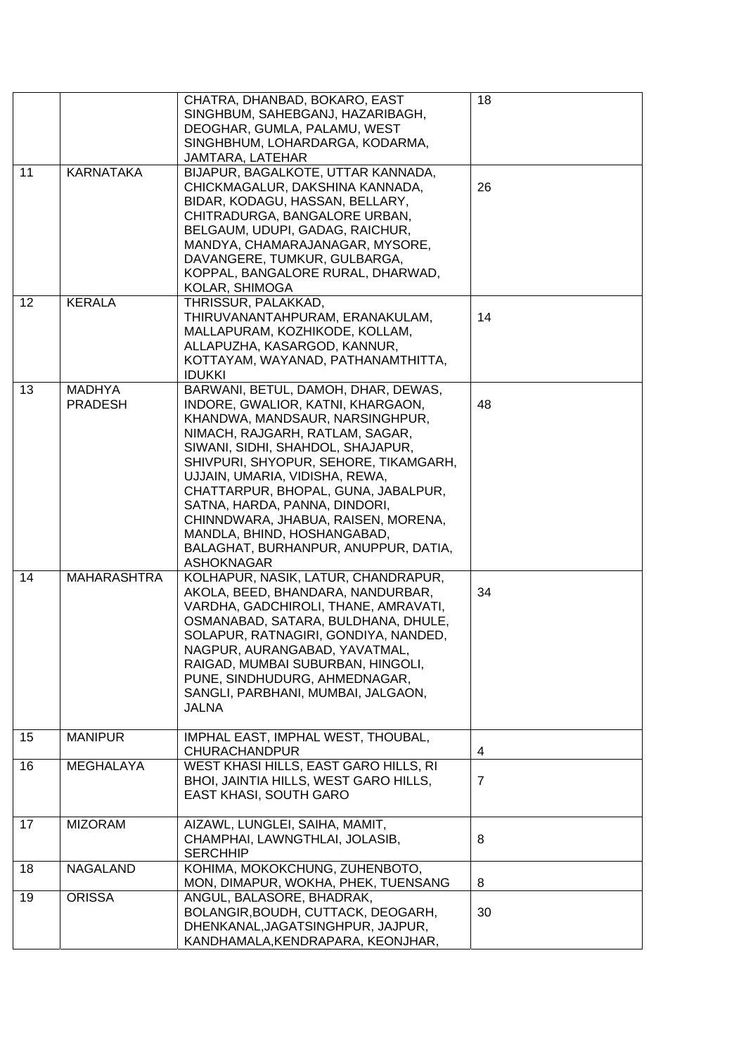|    |                                 | CHATRA, DHANBAD, BOKARO, EAST<br>SINGHBUM, SAHEBGANJ, HAZARIBAGH,                                                                                                                                                                                                                                                                                                                                                                                                         | 18             |
|----|---------------------------------|---------------------------------------------------------------------------------------------------------------------------------------------------------------------------------------------------------------------------------------------------------------------------------------------------------------------------------------------------------------------------------------------------------------------------------------------------------------------------|----------------|
|    |                                 | DEOGHAR, GUMLA, PALAMU, WEST<br>SINGHBHUM, LOHARDARGA, KODARMA,                                                                                                                                                                                                                                                                                                                                                                                                           |                |
|    |                                 | JAMTARA, LATEHAR                                                                                                                                                                                                                                                                                                                                                                                                                                                          |                |
| 11 | <b>KARNATAKA</b>                | BIJAPUR, BAGALKOTE, UTTAR KANNADA,<br>CHICKMAGALUR, DAKSHINA KANNADA,<br>BIDAR, KODAGU, HASSAN, BELLARY,<br>CHITRADURGA, BANGALORE URBAN,<br>BELGAUM, UDUPI, GADAG, RAICHUR,<br>MANDYA, CHAMARAJANAGAR, MYSORE,<br>DAVANGERE, TUMKUR, GULBARGA,<br>KOPPAL, BANGALORE RURAL, DHARWAD,<br>KOLAR, SHIMOGA                                                                                                                                                                    | 26             |
| 12 | <b>KERALA</b>                   | THRISSUR, PALAKKAD,<br>THIRUVANANTAHPURAM, ERANAKULAM,<br>MALLAPURAM, KOZHIKODE, KOLLAM,<br>ALLAPUZHA, KASARGOD, KANNUR,<br>KOTTAYAM, WAYANAD, PATHANAMTHITTA,<br><b>IDUKKI</b>                                                                                                                                                                                                                                                                                           | 14             |
| 13 | <b>MADHYA</b><br><b>PRADESH</b> | BARWANI, BETUL, DAMOH, DHAR, DEWAS,<br>INDORE, GWALIOR, KATNI, KHARGAON,<br>KHANDWA, MANDSAUR, NARSINGHPUR,<br>NIMACH, RAJGARH, RATLAM, SAGAR,<br>SIWANI, SIDHI, SHAHDOL, SHAJAPUR,<br>SHIVPURI, SHYOPUR, SEHORE, TIKAMGARH,<br>UJJAIN, UMARIA, VIDISHA, REWA,<br>CHATTARPUR, BHOPAL, GUNA, JABALPUR,<br>SATNA, HARDA, PANNA, DINDORI,<br>CHINNDWARA, JHABUA, RAISEN, MORENA,<br>MANDLA, BHIND, HOSHANGABAD,<br>BALAGHAT, BURHANPUR, ANUPPUR, DATIA,<br><b>ASHOKNAGAR</b> | 48             |
| 14 | <b>MAHARASHTRA</b>              | KOLHAPUR, NASIK, LATUR, CHANDRAPUR,<br>AKOLA, BEED, BHANDARA, NANDURBAR,<br>VARDHA, GADCHIROLI, THANE, AMRAVATI,<br>OSMANABAD, SATARA, BULDHANA, DHULE,<br>SOLAPUR, RATNAGIRI, GONDIYA, NANDED,<br>NAGPUR, AURANGABAD, YAVATMAL<br>RAIGAD, MUMBAI SUBURBAN, HINGOLI,<br>PUNE, SINDHUDURG, AHMEDNAGAR,<br>SANGLI, PARBHANI, MUMBAI, JALGAON,<br><b>JALNA</b>                                                                                                               | 34             |
| 15 | <b>MANIPUR</b>                  | IMPHAL EAST, IMPHAL WEST, THOUBAL,<br><b>CHURACHANDPUR</b>                                                                                                                                                                                                                                                                                                                                                                                                                | 4              |
| 16 | <b>MEGHALAYA</b>                | WEST KHASI HILLS, EAST GARO HILLS, RI<br>BHOI, JAINTIA HILLS, WEST GARO HILLS,<br><b>EAST KHASI, SOUTH GARO</b>                                                                                                                                                                                                                                                                                                                                                           | $\overline{7}$ |
| 17 | <b>MIZORAM</b>                  | AIZAWL, LUNGLEI, SAIHA, MAMIT,<br>CHAMPHAI, LAWNGTHLAI, JOLASIB,<br><b>SERCHHIP</b>                                                                                                                                                                                                                                                                                                                                                                                       | 8              |
| 18 | <b>NAGALAND</b>                 | KOHIMA, MOKOKCHUNG, ZUHENBOTO,<br>MON, DIMAPUR, WOKHA, PHEK, TUENSANG                                                                                                                                                                                                                                                                                                                                                                                                     | 8              |
| 19 | <b>ORISSA</b>                   | ANGUL, BALASORE, BHADRAK,<br>BOLANGIR, BOUDH, CUTTACK, DEOGARH,<br>DHENKANAL, JAGATSINGHPUR, JAJPUR,<br>KANDHAMALA, KENDRAPARA, KEONJHAR,                                                                                                                                                                                                                                                                                                                                 | 30             |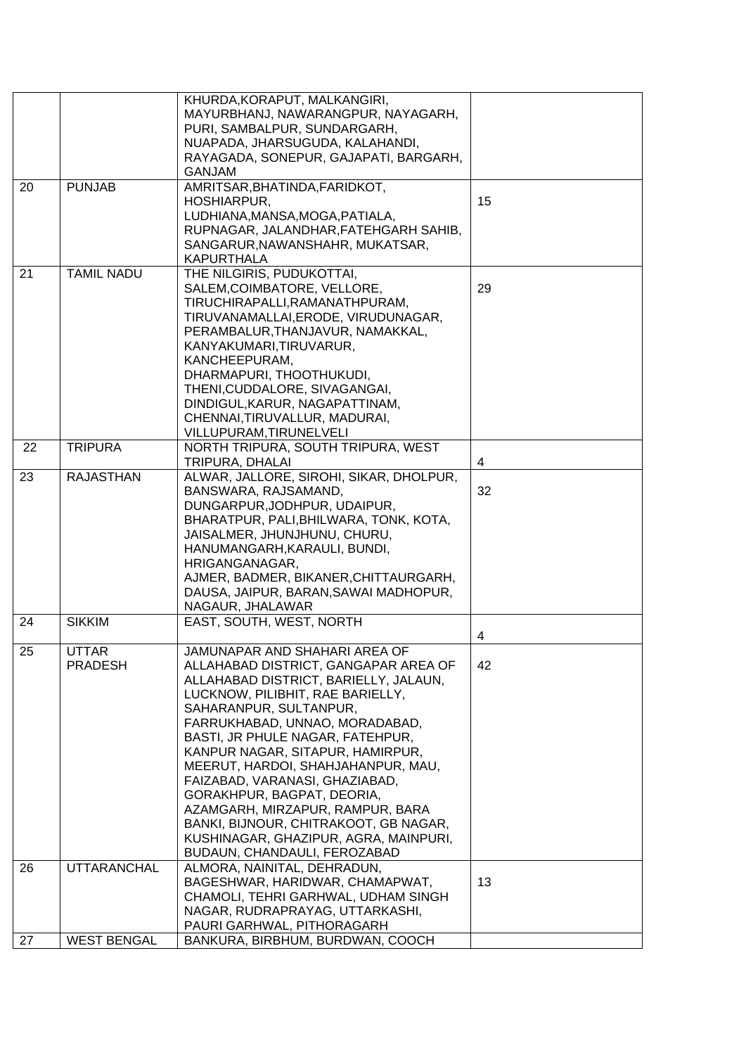|    |                    | KHURDA, KORAPUT, MALKANGIRI,            |    |
|----|--------------------|-----------------------------------------|----|
|    |                    | MAYURBHANJ, NAWARANGPUR, NAYAGARH,      |    |
|    |                    | PURI, SAMBALPUR, SUNDARGARH,            |    |
|    |                    | NUAPADA, JHARSUGUDA, KALAHANDI,         |    |
|    |                    | RAYAGADA, SONEPUR, GAJAPATI, BARGARH,   |    |
|    |                    | <b>GANJAM</b>                           |    |
| 20 | <b>PUNJAB</b>      | AMRITSAR, BHATINDA, FARIDKOT,           |    |
|    |                    |                                         | 15 |
|    |                    | HOSHIARPUR,                             |    |
|    |                    | LUDHIANA, MANSA, MOGA, PATIALA,         |    |
|    |                    | RUPNAGAR, JALANDHAR, FATEHGARH SAHIB,   |    |
|    |                    | SANGARUR, NAWANSHAHR, MUKATSAR,         |    |
|    |                    | <b>KAPURTHALA</b>                       |    |
| 21 | <b>TAMIL NADU</b>  | THE NILGIRIS, PUDUKOTTAI,               |    |
|    |                    | SALEM, COIMBATORE, VELLORE,             | 29 |
|    |                    | TIRUCHIRAPALLI, RAMANATHPURAM,          |    |
|    |                    | TIRUVANAMALLAI, ERODE, VIRUDUNAGAR,     |    |
|    |                    | PERAMBALUR, THANJAVUR, NAMAKKAL,        |    |
|    |                    | KANYAKUMARI, TIRUVARUR,                 |    |
|    |                    | KANCHEEPURAM,                           |    |
|    |                    | DHARMAPURI, THOOTHUKUDI,                |    |
|    |                    | THENI, CUDDALORE, SIVAGANGAI,           |    |
|    |                    | DINDIGUL, KARUR, NAGAPATTINAM,          |    |
|    |                    | CHENNAI, TIRUVALLUR, MADURAI,           |    |
|    |                    | VILLUPURAM, TIRUNELVELI                 |    |
| 22 | <b>TRIPURA</b>     | NORTH TRIPURA, SOUTH TRIPURA, WEST      |    |
|    |                    | TRIPURA, DHALAI                         | 4  |
| 23 | <b>RAJASTHAN</b>   | ALWAR, JALLORE, SIROHI, SIKAR, DHOLPUR, |    |
|    |                    |                                         |    |
|    |                    | BANSWARA, RAJSAMAND,                    | 32 |
|    |                    | DUNGARPUR, JODHPUR, UDAIPUR,            |    |
|    |                    | BHARATPUR, PALI, BHILWARA, TONK, KOTA,  |    |
|    |                    | JAISALMER, JHUNJHUNU, CHURU,            |    |
|    |                    | HANUMANGARH, KARAULI, BUNDI,            |    |
|    |                    | HRIGANGANAGAR,                          |    |
|    |                    | AJMER, BADMER, BIKANER, CHITTAURGARH,   |    |
|    |                    | DAUSA, JAIPUR, BARAN, SAWAI MADHOPUR,   |    |
|    |                    | NAGAUR, JHALAWAR                        |    |
| 24 | <b>SIKKIM</b>      | EAST, SOUTH, WEST, NORTH                |    |
|    |                    |                                         | 4  |
| 25 | <b>UTTAR</b>       | JAMUNAPAR AND SHAHARI AREA OF           |    |
|    | <b>PRADESH</b>     | ALLAHABAD DISTRICT, GANGAPAR AREA OF    | 42 |
|    |                    | ALLAHABAD DISTRICT, BARIELLY, JALAUN,   |    |
|    |                    | LUCKNOW, PILIBHIT, RAE BARIELLY,        |    |
|    |                    | SAHARANPUR, SULTANPUR,                  |    |
|    |                    | FARRUKHABAD, UNNAO, MORADABAD,          |    |
|    |                    | BASTI, JR PHULE NAGAR, FATEHPUR,        |    |
|    |                    | KANPUR NAGAR, SITAPUR, HAMIRPUR,        |    |
|    |                    | MEERUT, HARDOI, SHAHJAHANPUR, MAU,      |    |
|    |                    | FAIZABAD, VARANASI, GHAZIABAD,          |    |
|    |                    | GORAKHPUR, BAGPAT, DEORIA,              |    |
|    |                    | AZAMGARH, MIRZAPUR, RAMPUR, BARA        |    |
|    |                    | BANKI, BIJNOUR, CHITRAKOOT, GB NAGAR,   |    |
|    |                    | KUSHINAGAR, GHAZIPUR, AGRA, MAINPURI,   |    |
|    |                    |                                         |    |
|    |                    | BUDAUN, CHANDAULI, FEROZABAD            |    |
| 26 | <b>UTTARANCHAL</b> | ALMORA, NAINITAL, DEHRADUN,             |    |
|    |                    | BAGESHWAR, HARIDWAR, CHAMAPWAT,         | 13 |
|    |                    | CHAMOLI, TEHRI GARHWAL, UDHAM SINGH     |    |
|    |                    | NAGAR, RUDRAPRAYAG, UTTARKASHI,         |    |
|    |                    | PAURI GARHWAL, PITHORAGARH              |    |
| 27 | <b>WEST BENGAL</b> | BANKURA, BIRBHUM, BURDWAN, COOCH        |    |